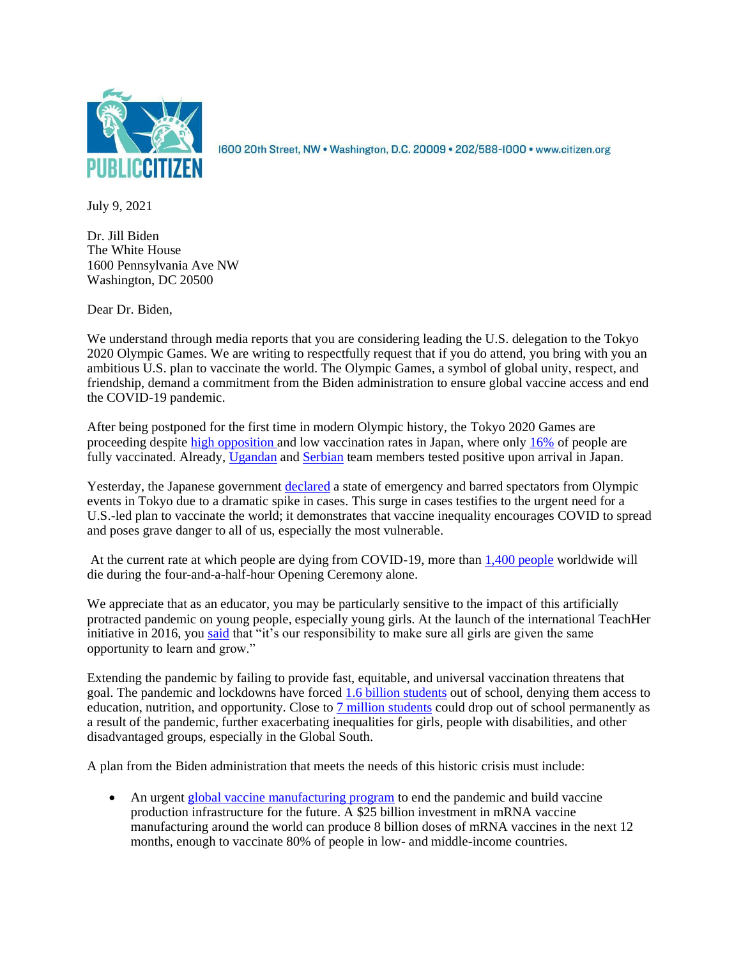

1600 20th Street, NW · Washington, D.C. 20009 · 202/588-1000 · www.citizen.org

July 9, 2021

Dr. Jill Biden The White House 1600 Pennsylvania Ave NW Washington, DC 20500

Dear Dr. Biden,

We understand through media reports that you are considering leading the U.S. delegation to the Tokyo 2020 Olympic Games. We are writing to respectfully request that if you do attend, you bring with you an ambitious U.S. plan to vaccinate the world. The Olympic Games, a symbol of global unity, respect, and friendship, demand a commitment from the Biden administration to ensure global vaccine access and end the COVID-19 pandemic.

After being postponed for the first time in modern Olympic history, the Tokyo 2020 Games are proceeding despite [high opposition](http://www.asahi.com/ajw/articles/14351670) and low vaccination rates in Japan, where onl[y 16%](https://ourworldindata.org/covid-vaccinations?country=JPN) of people are fully vaccinated. Already, [Ugandan](https://www.reuters.com/lifestyle/sports/ugandan-team-member-arriving-tokyo-had-delta-variant-coronavirus-kyodo-2021-06-25/#:~:text=Uganda%20team%20coach%20arriving%20in%20Tokyo%20had%20Delta%20coronavirus%20variant,-Daniel%20LeussinkChang%2Dran&text=A%20coach%20in%20the%20East,of%20Izumisano%2C%20officials%20said%20previously.) and [Serbian](https://www.reuters.com/lifestyle/sports/serbian-team-member-tests-positive-covid-19-arrival-japan-2021-07-04/) team members tested positive upon arrival in Japan.

Yesterday, the Japanese government [declared](https://www.bbc.com/news/world-asia-57760883) a state of emergency and barred spectators from Olympic events in Tokyo due to a dramatic spike in cases. This surge in cases testifies to the urgent need for a U.S.-led plan to vaccinate the world; it demonstrates that vaccine inequality encourages COVID to spread and poses grave danger to all of us, especially the most vulnerable.

At the current rate at which people are dying from COVID-19, more tha[n 1,400 people](https://covid19.who.int/) worldwide will die during the four-and-a-half-hour Opening Ceremony alone.

We appreciate that as an educator, you may be particularly sensitive to the impact of this artificially protracted pandemic on young people, especially young girls. At the launch of the international TeachHer initiative in 2016, you [said](http://www.unesco.org/new/en/media-services/single-view/news/jill_biden_second_lady_of_the_us_and_irina_bokova_launch_g/) that "it's our responsibility to make sure all girls are given the same opportunity to learn and grow."

Extending the pandemic by failing to provide fast, equitable, and universal vaccination threatens that goal. The pandemic and lockdowns have forced [1.6 billion students](https://www.worldbank.org/en/news/press-release/2020/06/18/covid-19-could-lead-to-permanent-loss-in-learning-and-trillions-of-dollars-in-lost-earnings) out of school, denying them access to education, nutrition, and opportunity. Close to [7 million students](https://www.worldbank.org/en/news/press-release/2020/06/18/covid-19-could-lead-to-permanent-loss-in-learning-and-trillions-of-dollars-in-lost-earnings) could drop out of school permanently as a result of the pandemic, further exacerbating inequalities for girls, people with disabilities, and other disadvantaged groups, especially in the Global South.

A plan from the Biden administration that meets the needs of this historic crisis must include:

• An urgent [global vaccine manufacturing program](https://www.citizen.org/article/how-to-make-enough-vaccine-for-the-world-in-one-year/?eType=EmailBlastContent&eId=0cba1c99-0eee-442b-8129-623b21b76771) to end the pandemic and build vaccine production infrastructure for the future. A \$25 billion investment in mRNA vaccine manufacturing around the world can produce 8 billion doses of mRNA vaccines in the next 12 months, enough to vaccinate 80% of people in low- and middle-income countries.